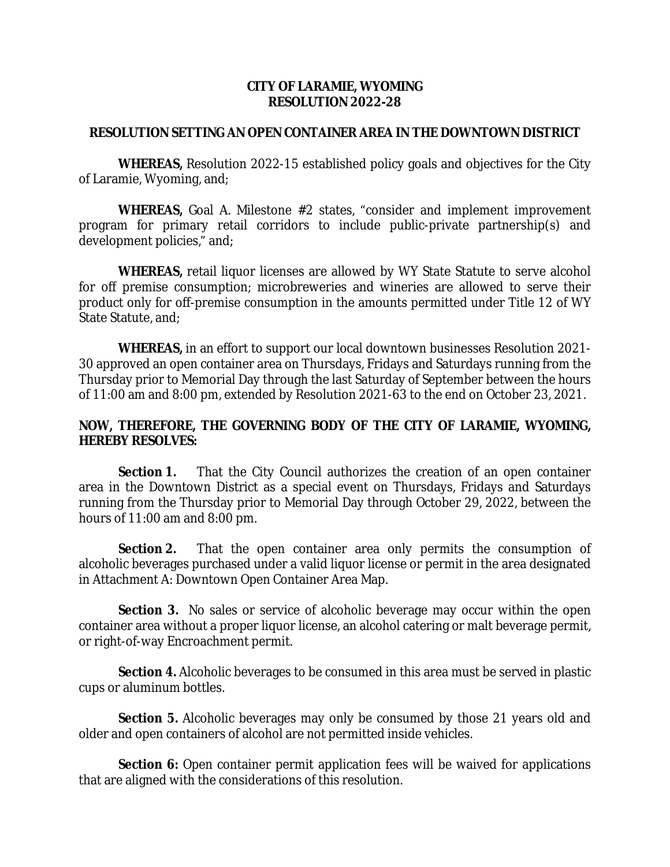## **CITY OF LARAMIE, WYOMING RESOLUTION 2022-28**

## **RESOLUTION SETTING AN OPEN CONTAINER AREA IN THE DOWNTOWN DISTRICT**

**WHEREAS,** Resolution 2022-15 established policy goals and objectives for the City of Laramie, Wyoming, and;

**WHEREAS,** Goal A. Milestone #2 states, "consider and implement improvement program for primary retail corridors to include public-private partnership(s) and development policies," and;

**WHEREAS,** retail liquor licenses are allowed by WY State Statute to serve alcohol for off premise consumption; microbreweries and wineries are allowed to serve their product only for off-premise consumption in the amounts permitted under Title 12 of WY State Statute, and;

**WHEREAS,** in an effort to support our local downtown businesses Resolution 2021- 30 approved an open container area on Thursdays, Fridays and Saturdays running from the Thursday prior to Memorial Day through the last Saturday of September between the hours of 11:00 am and 8:00 pm, extended by Resolution 2021-63 to the end on October 23, 2021.

## **NOW, THEREFORE, THE GOVERNING BODY OF THE CITY OF LARAMIE, WYOMING, HEREBY RESOLVES:**

**Section 1.** That the City Council authorizes the creation of an open container area in the Downtown District as a special event on Thursdays, Fridays and Saturdays running from the Thursday prior to Memorial Day through October 29, 2022, between the hours of 11:00 am and 8:00 pm.

**Section 2.** That the open container area only permits the consumption of alcoholic beverages purchased under a valid liquor license or permit in the area designated in Attachment A: Downtown Open Container Area Map.

**Section 3.** No sales or service of alcoholic beverage may occur within the open container area without a proper liquor license, an alcohol catering or malt beverage permit, or right-of-way Encroachment permit.

**Section 4.** Alcoholic beverages to be consumed in this area must be served in plastic cups or aluminum bottles.

**Section 5.** Alcoholic beverages may only be consumed by those 21 years old and older and open containers of alcohol are not permitted inside vehicles.

**Section 6:** Open container permit application fees will be waived for applications that are aligned with the considerations of this resolution.